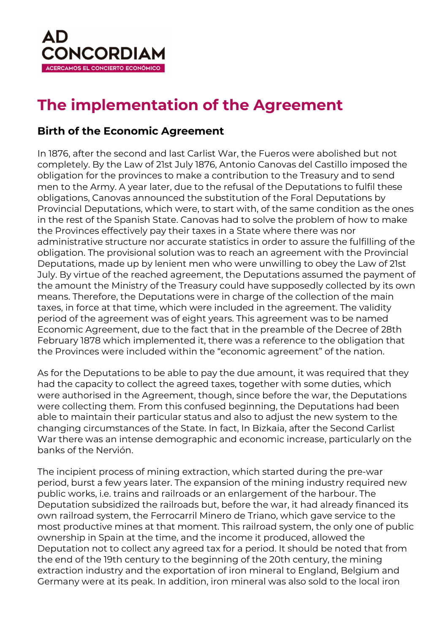

## **The implementation of the Agreement**

## **Birth of the Economic Agreement**

In 1876, after the second and last Carlist War, the Fueros were abolished but not completely. By the Law of 21st July 1876, Antonio Canovas del Castillo imposed the obligation for the provinces to make a contribution to the Treasury and to send men to the Army. A year later, due to the refusal of the Deputations to fulfil these obligations, Canovas announced the substitution of the Foral Deputations by Provincial Deputations, which were, to start with, of the same condition as the ones in the rest of the Spanish State. Canovas had to solve the problem of how to make the Provinces effectively pay their taxes in a State where there was nor administrative structure nor accurate statistics in order to assure the fulfilling of the obligation. The provisional solution was to reach an agreement with the Provincial Deputations, made up by lenient men who were unwilling to obey the Law of 21st July. By virtue of the reached agreement, the Deputations assumed the payment of the amount the Ministry of the Treasury could have supposedly collected by its own means. Therefore, the Deputations were in charge of the collection of the main taxes, in force at that time, which were included in the agreement. The validity period of the agreement was of eight years. This agreement was to be named Economic Agreement, due to the fact that in the preamble of the Decree of 28th February 1878 which implemented it, there was a reference to the obligation that the Provinces were included within the "economic agreement" of the nation.

As for the Deputations to be able to pay the due amount, it was required that they had the capacity to collect the agreed taxes, together with some duties, which were authorised in the Agreement, though, since before the war, the Deputations were collecting them. From this confused beginning, the Deputations had been able to maintain their particular status and also to adjust the new system to the changing circumstances of the State. In fact, In Bizkaia, after the Second Carlist War there was an intense demographic and economic increase, particularly on the banks of the Nervión.

The incipient process of mining extraction, which started during the pre-war period, burst a few years later. The expansion of the mining industry required new public works, i.e. trains and railroads or an enlargement of the harbour. The Deputation subsidized the railroads but, before the war, it had already financed its own railroad system, the Ferrocarril Minero de Triano, which gave service to the most productive mines at that moment. This railroad system, the only one of public ownership in Spain at the time, and the income it produced, allowed the Deputation not to collect any agreed tax for a period. It should be noted that from the end of the 19th century to the beginning of the 20th century, the mining extraction industry and the exportation of iron mineral to England, Belgium and Germany were at its peak. In addition, iron mineral was also sold to the local iron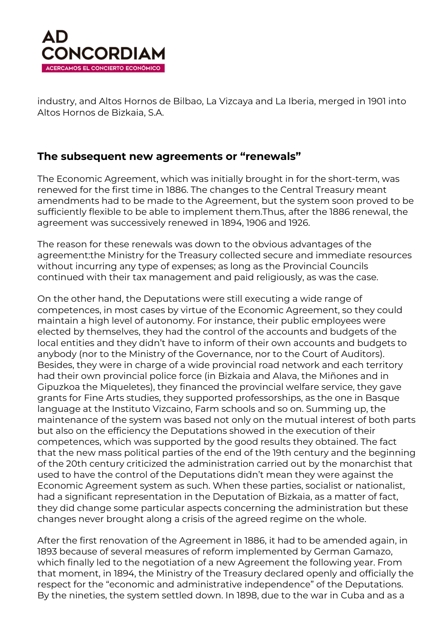

industry, and Altos Hornos de Bilbao, La Vizcaya and La Iberia, merged in 1901 into Altos Hornos de Bizkaia, S.A.

## **The subsequent new agreements or "renewals"**

The Economic Agreement, which was initially brought in for the short-term, was renewed for the first time in 1886. The changes to the Central Treasury meant amendments had to be made to the Agreement, but the system soon proved to be sufficiently flexible to be able to implement them.Thus, after the 1886 renewal, the agreement was successively renewed in 1894, 1906 and 1926.

The reason for these renewals was down to the obvious advantages of the agreement:the Ministry for the Treasury collected secure and immediate resources without incurring any type of expenses; as long as the Provincial Councils continued with their tax management and paid religiously, as was the case.

On the other hand, the Deputations were still executing a wide range of competences, in most cases by virtue of the Economic Agreement, so they could maintain a high level of autonomy. For instance, their public employees were elected by themselves, they had the control of the accounts and budgets of the local entities and they didn't have to inform of their own accounts and budgets to anybody (nor to the Ministry of the Governance, nor to the Court of Auditors). Besides, they were in charge of a wide provincial road network and each territory had their own provincial police force (in Bizkaia and Alava, the Miñones and in Gipuzkoa the Miqueletes), they financed the provincial welfare service, they gave grants for Fine Arts studies, they supported professorships, as the one in Basque language at the Instituto Vizcaino, Farm schools and so on. Summing up, the maintenance of the system was based not only on the mutual interest of both parts but also on the efficiency the Deputations showed in the execution of their competences, which was supported by the good results they obtained. The fact that the new mass political parties of the end of the 19th century and the beginning of the 20th century criticized the administration carried out by the monarchist that used to have the control of the Deputations didn't mean they were against the Economic Agreement system as such. When these parties, socialist or nationalist, had a significant representation in the Deputation of Bizkaia, as a matter of fact, they did change some particular aspects concerning the administration but these changes never brought along a crisis of the agreed regime on the whole.

After the first renovation of the Agreement in 1886, it had to be amended again, in 1893 because of several measures of reform implemented by German Gamazo, which finally led to the negotiation of a new Agreement the following year. From that moment, in 1894, the Ministry of the Treasury declared openly and officially the respect for the "economic and administrative independence" of the Deputations. By the nineties, the system settled down. In 1898, due to the war in Cuba and as a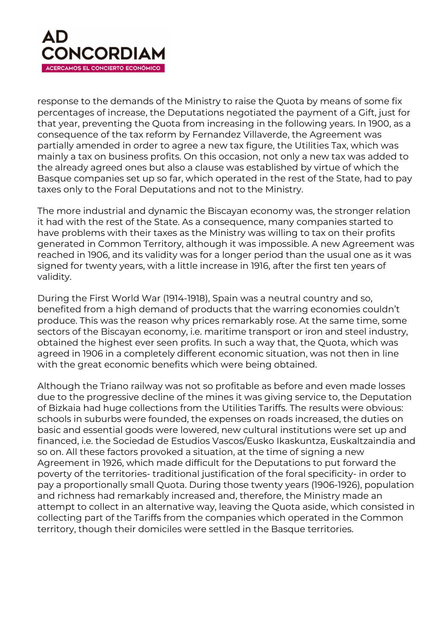

response to the demands of the Ministry to raise the Quota by means of some fix percentages of increase, the Deputations negotiated the payment of a Gift, just for that year, preventing the Quota from increasing in the following years. In 1900, as a consequence of the tax reform by Fernandez Villaverde, the Agreement was partially amended in order to agree a new tax figure, the Utilities Tax, which was mainly a tax on business profits. On this occasion, not only a new tax was added to the already agreed ones but also a clause was established by virtue of which the Basque companies set up so far, which operated in the rest of the State, had to pay taxes only to the Foral Deputations and not to the Ministry.

The more industrial and dynamic the Biscayan economy was, the stronger relation it had with the rest of the State. As a consequence, many companies started to have problems with their taxes as the Ministry was willing to tax on their profits generated in Common Territory, although it was impossible. A new Agreement was reached in 1906, and its validity was for a longer period than the usual one as it was signed for twenty years, with a little increase in 1916, after the first ten years of validity.

During the First World War (1914-1918), Spain was a neutral country and so, benefited from a high demand of products that the warring economies couldn't produce. This was the reason why prices remarkably rose. At the same time, some sectors of the Biscayan economy, i.e. maritime transport or iron and steel industry, obtained the highest ever seen profits. In such a way that, the Quota, which was agreed in 1906 in a completely different economic situation, was not then in line with the great economic benefits which were being obtained.

Although the Triano railway was not so profitable as before and even made losses due to the progressive decline of the mines it was giving service to, the Deputation of Bizkaia had huge collections from the Utilities Tariffs. The results were obvious: schools in suburbs were founded, the expenses on roads increased, the duties on basic and essential goods were lowered, new cultural institutions were set up and financed, i.e. the Sociedad de Estudios Vascos/Eusko Ikaskuntza, Euskaltzaindia and so on. All these factors provoked a situation, at the time of signing a new Agreement in 1926, which made difficult for the Deputations to put forward the poverty of the territories- traditional justification of the foral specificity- in order to pay a proportionally small Quota. During those twenty years (1906-1926), population and richness had remarkably increased and, therefore, the Ministry made an attempt to collect in an alternative way, leaving the Quota aside, which consisted in collecting part of the Tariffs from the companies which operated in the Common territory, though their domiciles were settled in the Basque territories.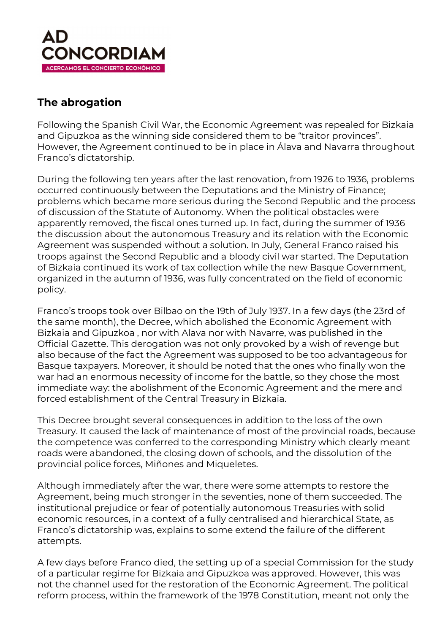

## **The abrogation**

Following the Spanish Civil War, the Economic Agreement was repealed for Bizkaia and Gipuzkoa as the winning side considered them to be "traitor provinces". However, the Agreement continued to be in place in Álava and Navarra throughout Franco's dictatorship.

During the following ten years after the last renovation, from 1926 to 1936, problems occurred continuously between the Deputations and the Ministry of Finance; problems which became more serious during the Second Republic and the process of discussion of the Statute of Autonomy. When the political obstacles were apparently removed, the fiscal ones turned up. In fact, during the summer of 1936 the discussion about the autonomous Treasury and its relation with the Economic Agreement was suspended without a solution. In July, General Franco raised his troops against the Second Republic and a bloody civil war started. The Deputation of Bizkaia continued its work of tax collection while the new Basque Government, organized in the autumn of 1936, was fully concentrated on the field of economic policy.

Franco's troops took over Bilbao on the 19th of July 1937. In a few days (the 23rd of the same month), the Decree, which abolished the Economic Agreement with Bizkaia and Gipuzkoa , nor with Alava nor with Navarre, was published in the Official Gazette. This derogation was not only provoked by a wish of revenge but also because of the fact the Agreement was supposed to be too advantageous for Basque taxpayers. Moreover, it should be noted that the ones who finally won the war had an enormous necessity of income for the battle, so they chose the most immediate way: the abolishment of the Economic Agreement and the mere and forced establishment of the Central Treasury in Bizkaia.

This Decree brought several consequences in addition to the loss of the own Treasury. It caused the lack of maintenance of most of the provincial roads, because the competence was conferred to the corresponding Ministry which clearly meant roads were abandoned, the closing down of schools, and the dissolution of the provincial police forces, Miñones and Miqueletes.

Although immediately after the war, there were some attempts to restore the Agreement, being much stronger in the seventies, none of them succeeded. The institutional prejudice or fear of potentially autonomous Treasuries with solid economic resources, in a context of a fully centralised and hierarchical State, as Franco's dictatorship was, explains to some extend the failure of the different attempts.

A few days before Franco died, the setting up of a special Commission for the study of a particular regime for Bizkaia and Gipuzkoa was approved. However, this was not the channel used for the restoration of the Economic Agreement. The political reform process, within the framework of the 1978 Constitution, meant not only the